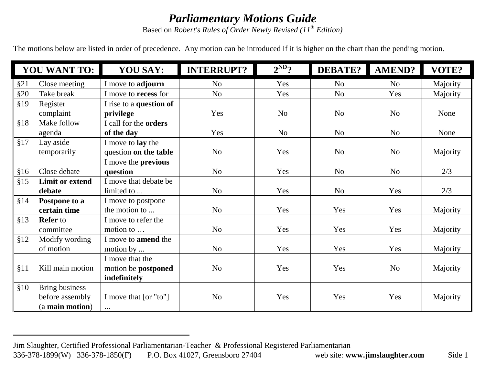## *Parliamentary Motions Guide*

Based on *Robert's Rules of Order Newly Revised (11 th Edition)*

The motions below are listed in order of precedence. Any motion can be introduced if it is higher on the chart than the pending motion.

| <b>YOU WANT TO:</b> |                        | <b>YOU SAY:</b>             | <b>INTERRUPT?</b> | $2^{ND}$ ?     | DEBATE?        | AMEND?         | VOTE?    |
|---------------------|------------------------|-----------------------------|-------------------|----------------|----------------|----------------|----------|
| §21                 | Close meeting          | I move to adjourn           | N <sub>0</sub>    | Yes            | N <sub>o</sub> | N <sub>o</sub> | Majority |
| §20                 | Take break             | I move to <b>recess</b> for | N <sub>o</sub>    | Yes            | N <sub>o</sub> | Yes            | Majority |
| §19                 | Register               | I rise to a question of     |                   |                |                |                |          |
|                     | complaint              | privilege                   | Yes               | N <sub>o</sub> | N <sub>o</sub> | N <sub>o</sub> | None     |
| §18                 | Make follow            | I call for the orders       |                   |                |                |                |          |
|                     | agenda                 | of the day                  | Yes               | N <sub>o</sub> | N <sub>o</sub> | N <sub>o</sub> | None     |
| §17                 | Lay aside              | I move to <b>lay</b> the    |                   |                |                |                |          |
|                     | temporarily            | question on the table       | N <sub>o</sub>    | Yes            | N <sub>o</sub> | N <sub>o</sub> | Majority |
|                     |                        | I move the <b>previous</b>  |                   |                |                |                |          |
| §16                 | Close debate           | question                    | N <sub>o</sub>    | Yes            | N <sub>o</sub> | No             | 2/3      |
| §15                 | <b>Limit or extend</b> | I move that debate be       |                   |                |                |                |          |
|                     | debate                 | limited to                  | N <sub>o</sub>    | Yes            | N <sub>o</sub> | Yes            | 2/3      |
| §14                 | Postpone to a          | I move to postpone          |                   |                |                |                |          |
|                     | certain time           | the motion to               | N <sub>o</sub>    | Yes            | Yes            | Yes            | Majority |
| §13                 | <b>Refer</b> to        | I move to refer the         |                   |                |                |                |          |
|                     | committee              | motion to                   | N <sub>o</sub>    | Yes            | Yes            | Yes            | Majority |
| §12                 | Modify wording         | I move to <b>amend</b> the  |                   |                |                |                |          |
|                     | of motion              | motion by                   | N <sub>o</sub>    | Yes            | Yes            | Yes            | Majority |
|                     |                        | I move that the             |                   |                |                |                |          |
| §11                 | Kill main motion       | motion be postponed         | N <sub>o</sub>    | Yes            | Yes            | N <sub>o</sub> | Majority |
|                     |                        | indefinitely                |                   |                |                |                |          |
| \$10                | <b>Bring business</b>  |                             |                   |                |                |                |          |
|                     | before assembly        | I move that [or "to"]       | N <sub>o</sub>    | Yes            | Yes            | Yes            | Majority |
|                     | (a main motion)        | $\cdots$                    |                   |                |                |                |          |

Jim Slaughter, Certified Professional Parliamentarian-Teacher & Professional Registered Parliamentarian

<sup>336-378-1899(</sup>W) 336-378-1850(F) P.O. Box 41027, Greensboro 27404 web site: **www.jimslaughter.com** Side 1